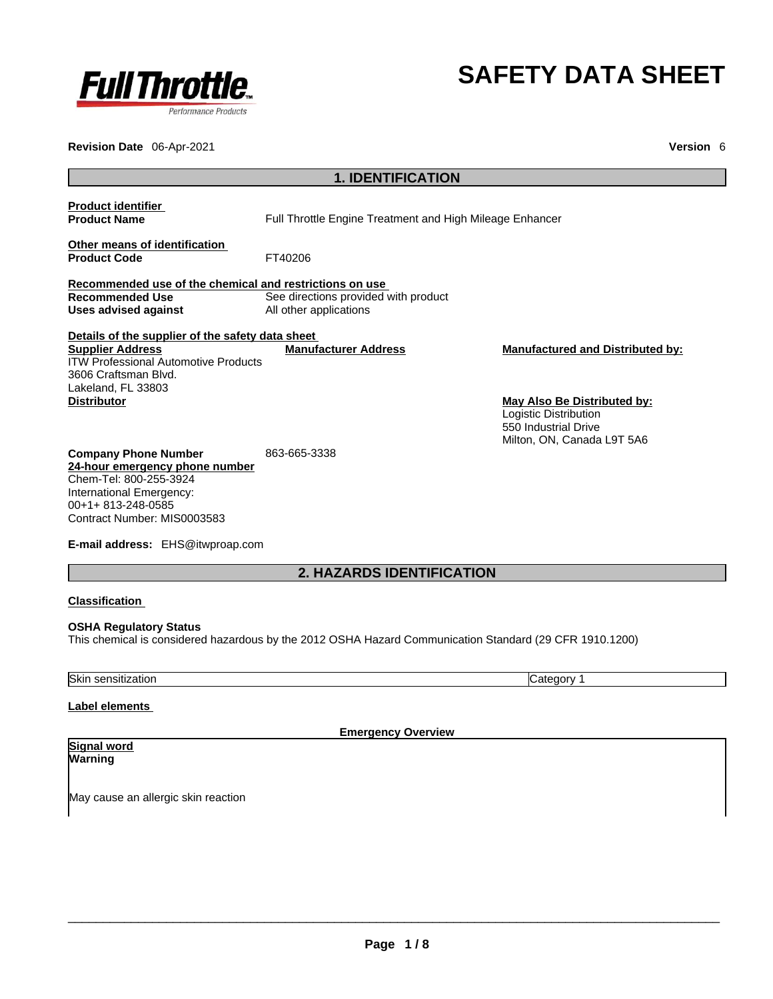

# **SAFETY DATA SHEET**

**Revision Date** 06-Apr-2021 **Version** 6

| <b>1. IDENTIFICATION</b>                                                                                                                                                                                    |                                                                |                                                                                                                                                       |
|-------------------------------------------------------------------------------------------------------------------------------------------------------------------------------------------------------------|----------------------------------------------------------------|-------------------------------------------------------------------------------------------------------------------------------------------------------|
| <b>Product identifier</b><br><b>Product Name</b>                                                                                                                                                            | Full Throttle Engine Treatment and High Mileage Enhancer       |                                                                                                                                                       |
| Other means of identification<br><b>Product Code</b>                                                                                                                                                        | FT40206                                                        |                                                                                                                                                       |
| Recommended use of the chemical and restrictions on use                                                                                                                                                     |                                                                |                                                                                                                                                       |
| <b>Recommended Use</b><br>Uses advised against                                                                                                                                                              | See directions provided with product<br>All other applications |                                                                                                                                                       |
| Details of the supplier of the safety data sheet                                                                                                                                                            |                                                                |                                                                                                                                                       |
| <b>Supplier Address</b><br><b>ITW Professional Automotive Products</b><br>3606 Craftsman Blvd.<br>Lakeland, FL 33803<br><b>Distributor</b>                                                                  | <b>Manufacturer Address</b>                                    | <b>Manufactured and Distributed by:</b><br>May Also Be Distributed by:<br>Logistic Distribution<br>550 Industrial Drive<br>Milton, ON, Canada L9T 5A6 |
| <b>Company Phone Number</b><br>24-hour emergency phone number<br>Chem-Tel: 800-255-3924<br>International Emergency:<br>00+1+813-248-0585<br>Contract Number: MIS0003583<br>E-mail address: EHS@itwproap.com | 863-665-3338                                                   |                                                                                                                                                       |

**2. HAZARDS IDENTIFICATION** 

# **Classification**

**OSHA Regulatory Status** This chemical is considered hazardous by the 2012 OSHA Hazard Communication Standard (29 CFR 1910.1200)

# Skin sensitization Category 1

# **Label elements**

**Emergency Overview** 

#### **Signal word Warning**

May cause an allergic skin reaction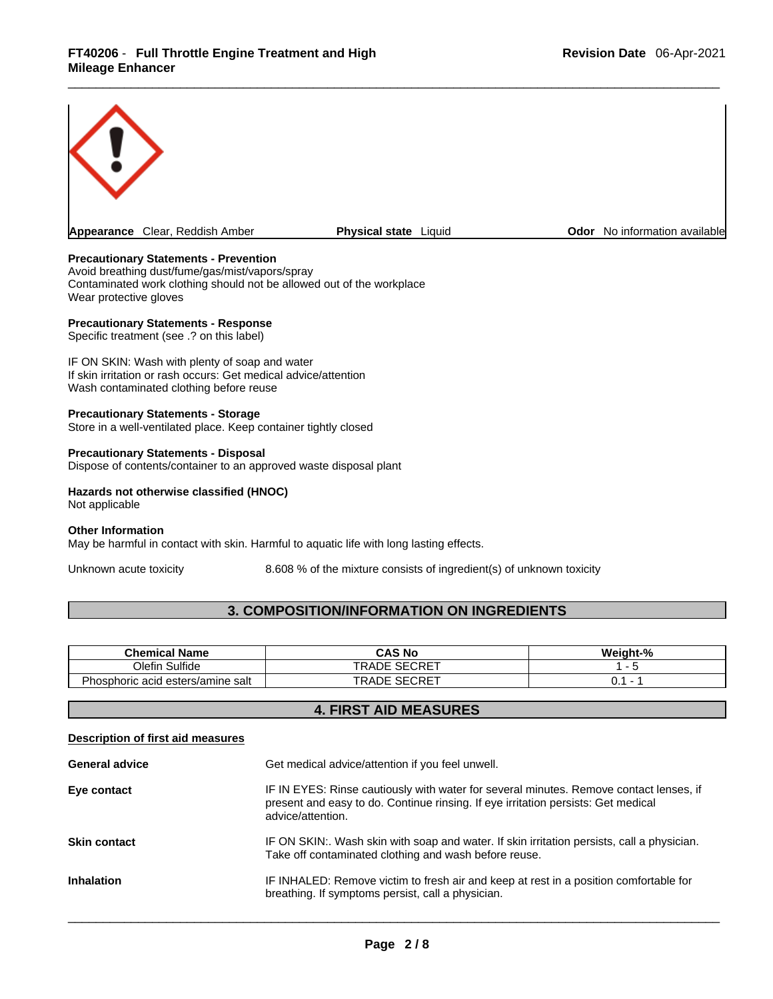

# **Precautionary Statements - Prevention**

Avoid breathing dust/fume/gas/mist/vapors/spray Contaminated work clothing should not be allowed out of the workplace Wear protective gloves

#### **Precautionary Statements - Response**

Specific treatment (see .? on this label)

IF ON SKIN: Wash with plenty of soap and water If skin irritation or rash occurs: Get medical advice/attention Wash contaminated clothing before reuse

#### **Precautionary Statements - Storage**

Store in a well-ventilated place. Keep container tightly closed

#### **Precautionary Statements - Disposal**

Dispose of contents/container to an approved waste disposal plant

# **Hazards not otherwise classified (HNOC)**

Not applicable

#### **Other Information**

May be harmful in contact with skin. Harmful to aquatic life with long lasting effects.

Unknown acute toxicity 8.608 % of the mixture consists of ingredient(s) of unknown toxicity

# **3. COMPOSITION/INFORMATION ON INGREDIENTS**

| Chemical Name                          | <b>CAS No</b>                         | Weiaht-% |
|----------------------------------------|---------------------------------------|----------|
| ulfideٽ<br><b>Olefin</b>               | $C$ $C$ $D$ $D$ $T$<br>RADE)<br>SECRE |          |
| Phosphoric acid<br>l esters/amine salt | $\lrcorner$ SECRET<br><b>RADE</b>     |          |

# **4. FIRST AID MEASURES**

# **Description of first aid measures**

| <b>General advice</b> | Get medical advice/attention if you feel unwell.                                                                                                                                                 |
|-----------------------|--------------------------------------------------------------------------------------------------------------------------------------------------------------------------------------------------|
| Eye contact           | IF IN EYES: Rinse cautiously with water for several minutes. Remove contact lenses, if<br>present and easy to do. Continue rinsing. If eye irritation persists: Get medical<br>advice/attention. |
| <b>Skin contact</b>   | IF ON SKIN:. Wash skin with soap and water. If skin irritation persists, call a physician.<br>Take off contaminated clothing and wash before reuse.                                              |
| <b>Inhalation</b>     | IF INHALED: Remove victim to fresh air and keep at rest in a position comfortable for<br>breathing. If symptoms persist, call a physician.                                                       |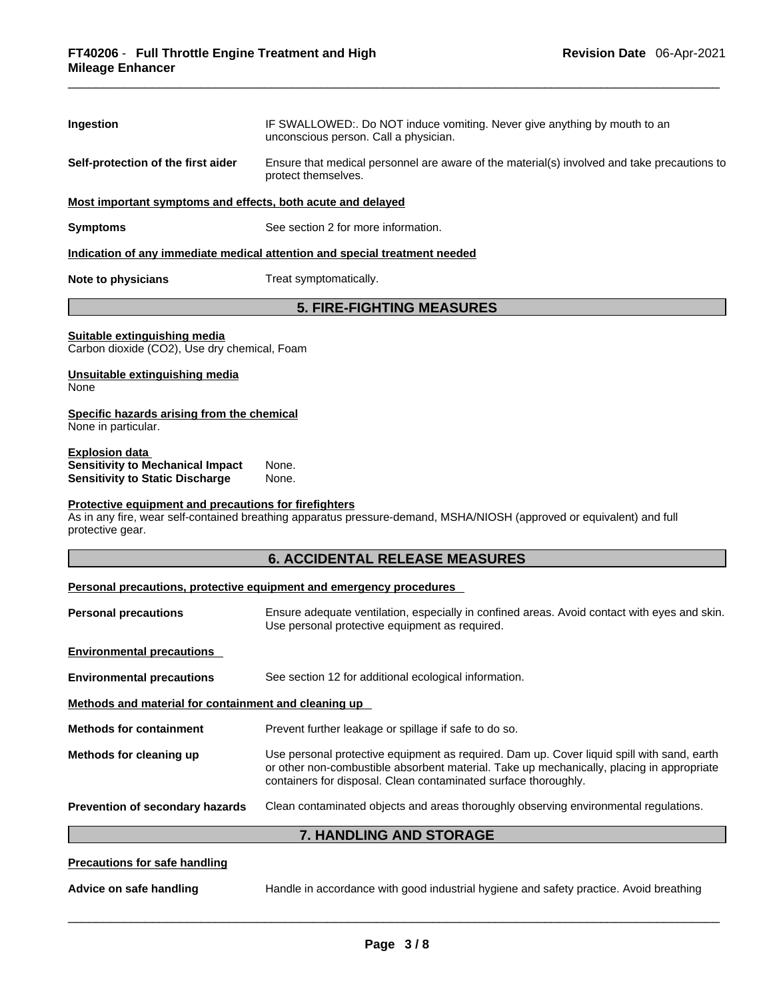| Ingestion                                                                                                      | IF SWALLOWED:. Do NOT induce vomiting. Never give anything by mouth to an<br>unconscious person. Call a physician.                                                                                                                                         |
|----------------------------------------------------------------------------------------------------------------|------------------------------------------------------------------------------------------------------------------------------------------------------------------------------------------------------------------------------------------------------------|
| Self-protection of the first aider                                                                             | Ensure that medical personnel are aware of the material(s) involved and take precautions to<br>protect themselves.                                                                                                                                         |
| Most important symptoms and effects, both acute and delayed                                                    |                                                                                                                                                                                                                                                            |
| <b>Symptoms</b>                                                                                                | See section 2 for more information.                                                                                                                                                                                                                        |
|                                                                                                                | Indication of any immediate medical attention and special treatment needed                                                                                                                                                                                 |
| <b>Note to physicians</b>                                                                                      | Treat symptomatically.                                                                                                                                                                                                                                     |
|                                                                                                                | <b>5. FIRE-FIGHTING MEASURES</b>                                                                                                                                                                                                                           |
| Suitable extinguishing media<br>Carbon dioxide (CO2), Use dry chemical, Foam<br>Unsuitable extinguishing media |                                                                                                                                                                                                                                                            |
| None                                                                                                           |                                                                                                                                                                                                                                                            |
| Specific hazards arising from the chemical<br>None in particular.                                              |                                                                                                                                                                                                                                                            |
| Explosion data<br><b>Sensitivity to Mechanical Impact</b><br><b>Sensitivity to Static Discharge</b>            | None.<br>None.                                                                                                                                                                                                                                             |
| protective gear.                                                                                               | As in any fire, wear self-contained breathing apparatus pressure-demand, MSHA/NIOSH (approved or equivalent) and full<br><b>6. ACCIDENTAL RELEASE MEASURES</b>                                                                                             |
|                                                                                                                | Personal precautions, protective equipment and emergency procedures                                                                                                                                                                                        |
| <b>Personal precautions</b>                                                                                    | Ensure adequate ventilation, especially in confined areas. Avoid contact with eyes and skin.<br>Use personal protective equipment as required.                                                                                                             |
| <b>Environmental precautions</b>                                                                               |                                                                                                                                                                                                                                                            |
| <b>Environmental precautions</b>                                                                               | See section 12 for additional ecological information.                                                                                                                                                                                                      |
| Methods and material for containment and cleaning up                                                           |                                                                                                                                                                                                                                                            |
| <b>Methods for containment</b>                                                                                 | Prevent further leakage or spillage if safe to do so.                                                                                                                                                                                                      |
| Methods for cleaning up                                                                                        | Use personal protective equipment as required. Dam up. Cover liquid spill with sand, earth<br>or other non-combustible absorbent material. Take up mechanically, placing in appropriate<br>containers for disposal. Clean contaminated surface thoroughly. |
| Prevention of secondary hazards                                                                                | Clean contaminated objects and areas thoroughly observing environmental regulations.                                                                                                                                                                       |
|                                                                                                                | <b>7. HANDLING AND STORAGE</b>                                                                                                                                                                                                                             |
| <b>Precautions for safe handling</b>                                                                           |                                                                                                                                                                                                                                                            |
| Advice on safe handling                                                                                        | Handle in accordance with good industrial hygiene and safety practice. Avoid breathing                                                                                                                                                                     |
|                                                                                                                |                                                                                                                                                                                                                                                            |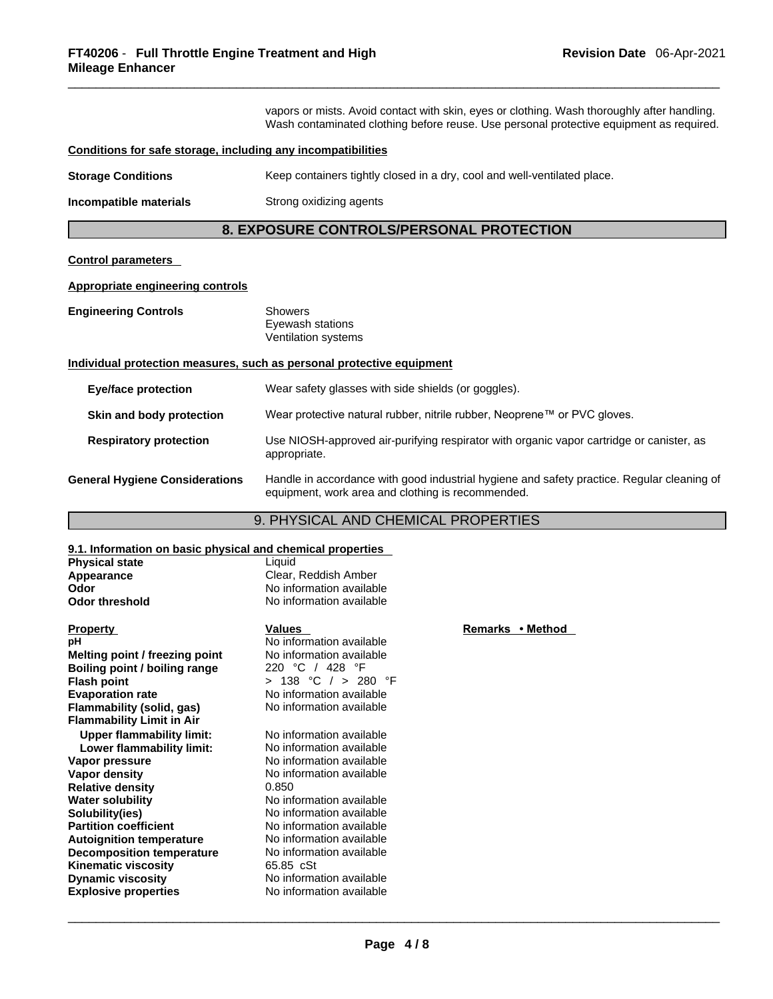vapors or mists. Avoid contact with skin, eyes or clothing. Wash thoroughly after handling. Wash contaminated clothing before reuse. Use personal protective equipment as required.

# **Conditions for safe storage, including any incompatibilities**

| <b>Storage Conditions</b> | Keep containers tightly closed in a dry, cool and well-ventilated place. |  |
|---------------------------|--------------------------------------------------------------------------|--|
|---------------------------|--------------------------------------------------------------------------|--|

**Incompatible materials Strong oxidizing agents** 

# **8. EXPOSURE CONTROLS/PERSONAL PROTECTION**

#### **Control parameters**

# **Appropriate engineering controls**

| <b>Engineering Controls</b> | Showers             |  |
|-----------------------------|---------------------|--|
|                             | Eyewash stations    |  |
|                             | Ventilation systems |  |

# **Individual protection measures, such as personal protective equipment**

| Eye/face protection                   | Wear safety glasses with side shields (or goggles).                                                                                             |
|---------------------------------------|-------------------------------------------------------------------------------------------------------------------------------------------------|
| Skin and body protection              | Wear protective natural rubber, nitrile rubber, Neoprene™ or PVC gloves.                                                                        |
| <b>Respiratory protection</b>         | Use NIOSH-approved air-purifying respirator with organic vapor cartridge or canister, as<br>appropriate.                                        |
| <b>General Hygiene Considerations</b> | Handle in accordance with good industrial hygiene and safety practice. Regular cleaning of<br>equipment, work area and clothing is recommended. |

# 9. PHYSICAL AND CHEMICAL PROPERTIES

# **9.1. Information on basic physical and chemical properties**

| <b>Physical state</b><br>Appearance<br>Odor<br><b>Odor threshold</b>                                                                                                                                                                                                                              | Liquid<br>Clear, Reddish Amber<br>No information available<br>No information available                                                                                                                                                                                         |                  |
|---------------------------------------------------------------------------------------------------------------------------------------------------------------------------------------------------------------------------------------------------------------------------------------------------|--------------------------------------------------------------------------------------------------------------------------------------------------------------------------------------------------------------------------------------------------------------------------------|------------------|
| <b>Property</b><br>рH                                                                                                                                                                                                                                                                             | <b>Values</b><br>No information available                                                                                                                                                                                                                                      | Remarks • Method |
| Melting point / freezing point<br>Boiling point / boiling range<br>Flash point<br><b>Evaporation rate</b><br>Flammability (solid, gas)<br><b>Flammability Limit in Air</b>                                                                                                                        | No information available<br>220 °C / 428 °F<br>> 138 °C / > 280 °F<br>No information available<br>No information available                                                                                                                                                     |                  |
| <b>Upper flammability limit:</b><br>Lower flammability limit:                                                                                                                                                                                                                                     | No information available<br>No information available                                                                                                                                                                                                                           |                  |
| Vapor pressure<br>Vapor density<br><b>Relative density</b><br>Water solubility<br>Solubility(ies)<br><b>Partition coefficient</b><br><b>Autoignition temperature</b><br><b>Decomposition temperature</b><br><b>Kinematic viscosity</b><br><b>Dynamic viscosity</b><br><b>Explosive properties</b> | No information available<br>No information available<br>0.850<br>No information available<br>No information available<br>No information available<br>No information available<br>No information available<br>65.85 cSt<br>No information available<br>No information available |                  |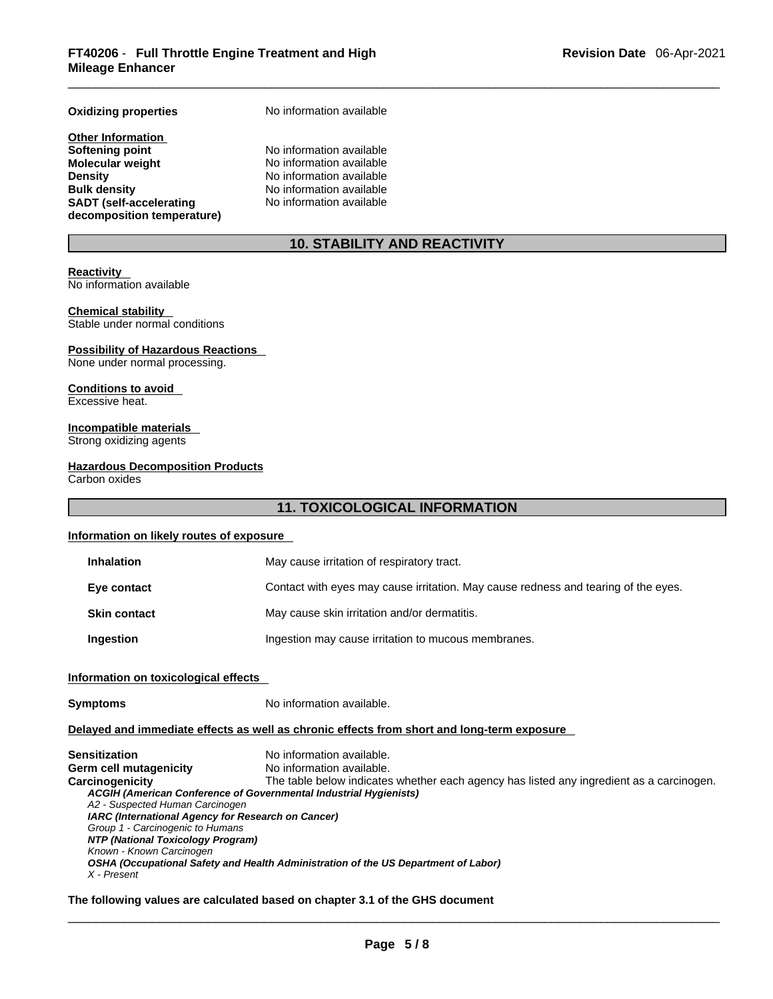# **Oxidizing properties** No information available

**Other Information Softening point** No information available **Molecular weight** No information available **Density Density No information available Bulk density No information available SADT (self-accelerating decomposition temperature)**

No information available

# **10. STABILITY AND REACTIVITY**

#### **Reactivity**

No information available

# **Chemical stability**

Stable under normal conditions

#### **Possibility of Hazardous Reactions**

None under normal processing.

#### **Conditions to avoid**  Excessive heat.

# **Incompatible materials**

Strong oxidizing agents

#### **Hazardous Decomposition Products**

Carbon oxides

# **11. TOXICOLOGICAL INFORMATION**

# **Information on likely routes of exposure**

| <b>Inhalation</b>   | May cause irritation of respiratory tract.                                         |
|---------------------|------------------------------------------------------------------------------------|
| Eye contact         | Contact with eyes may cause irritation. May cause redness and tearing of the eyes. |
| <b>Skin contact</b> | May cause skin irritation and/or dermatitis.                                       |
| Ingestion           | Ingestion may cause irritation to mucous membranes.                                |

# **Information on toxicological effects**

| <b>Symptoms</b> |
|-----------------|
|-----------------|

**Symptoms** No information available.

# **Delayed and immediate effects as well as chronic effects from short and long-term exposure**

**Sensitization** No information available. **Germ cell mutagenicity** No information available. Carcinogenicity The table below indicates whether each agency has listed any ingredient as a carcinogen. *ACGIH (American Conference of Governmental Industrial Hygienists) A2 - Suspected Human Carcinogen IARC (International Agency for Research on Cancer) Group 1 - Carcinogenic to Humans NTP (National Toxicology Program) Known - Known Carcinogen OSHA (Occupational Safety and Health Administration of the US Department of Labor) X - Present* 

# **The following values are calculated based on chapter 3.1 of the GHS document**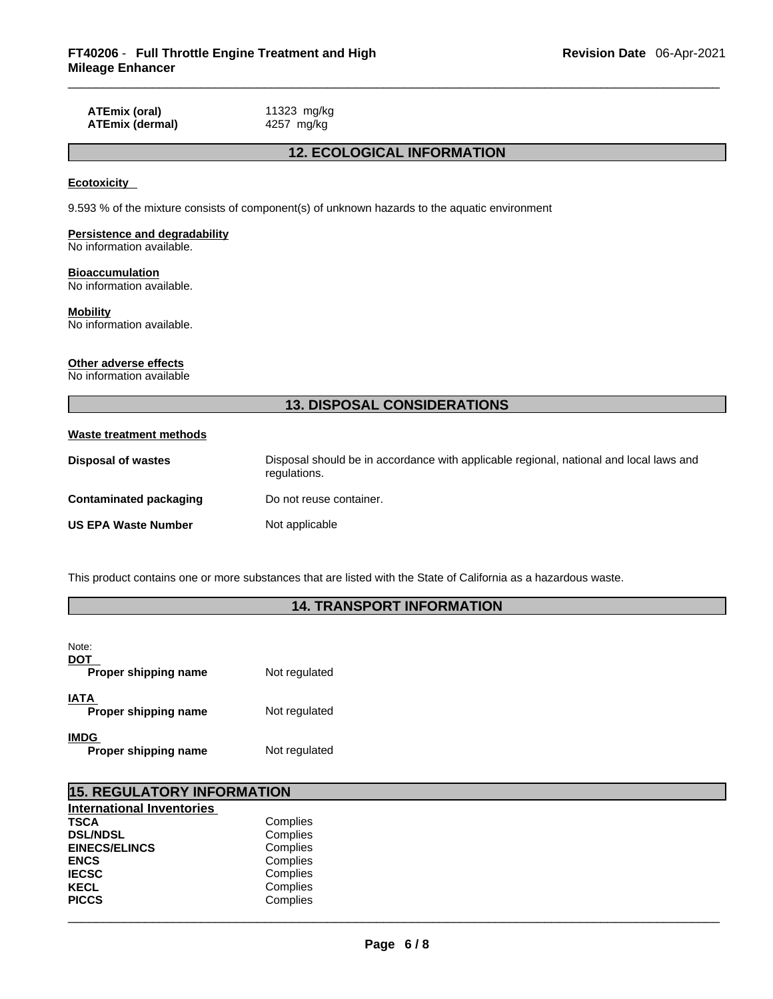**ATEmix (oral)** 11323 mg/kg<br>**ATEmix (dermal)** 4257 mg/kg **ATEmix** (dermal)

# **12. ECOLOGICAL INFORMATION**

#### **Ecotoxicity**

9.593 % of the mixture consists of component(s) of unknown hazards to the aquatic environment

# **Persistence and degradability**

No information available.

# **Bioaccumulation**

No information available.

#### **Mobility**

No information available.

#### **Other adverse effects**

No information available

# **13. DISPOSAL CONSIDERATIONS**

# **Waste treatment methods**

| Disposal of wastes         | Disposal should be in accordance with applicable regional, national and local laws and<br>regulations. |
|----------------------------|--------------------------------------------------------------------------------------------------------|
| Contaminated packaging     | Do not reuse container.                                                                                |
| <b>US EPA Waste Number</b> | Not applicable                                                                                         |

This product contains one or more substances that are listed with the State of California as a hazardous waste.

# **14. TRANSPORT INFORMATION**

| Note:<br>DOT<br>Proper shipping name | Not regulated |
|--------------------------------------|---------------|
| <b>IATA</b><br>Proper shipping name  | Not regulated |
| <b>IMDG</b><br>Proper shipping name  | Not regulated |

| <b>15. REGULATORY INFORMATION</b> |          |  |  |  |  |
|-----------------------------------|----------|--|--|--|--|
| <b>International Inventories</b>  |          |  |  |  |  |
| <b>TSCA</b>                       | Complies |  |  |  |  |
| <b>DSL/NDSL</b>                   | Complies |  |  |  |  |
| <b>EINECS/ELINCS</b>              | Complies |  |  |  |  |
| <b>ENCS</b>                       | Complies |  |  |  |  |
| <b>IECSC</b>                      | Complies |  |  |  |  |
| <b>KECL</b>                       | Complies |  |  |  |  |
| <b>PICCS</b>                      | Complies |  |  |  |  |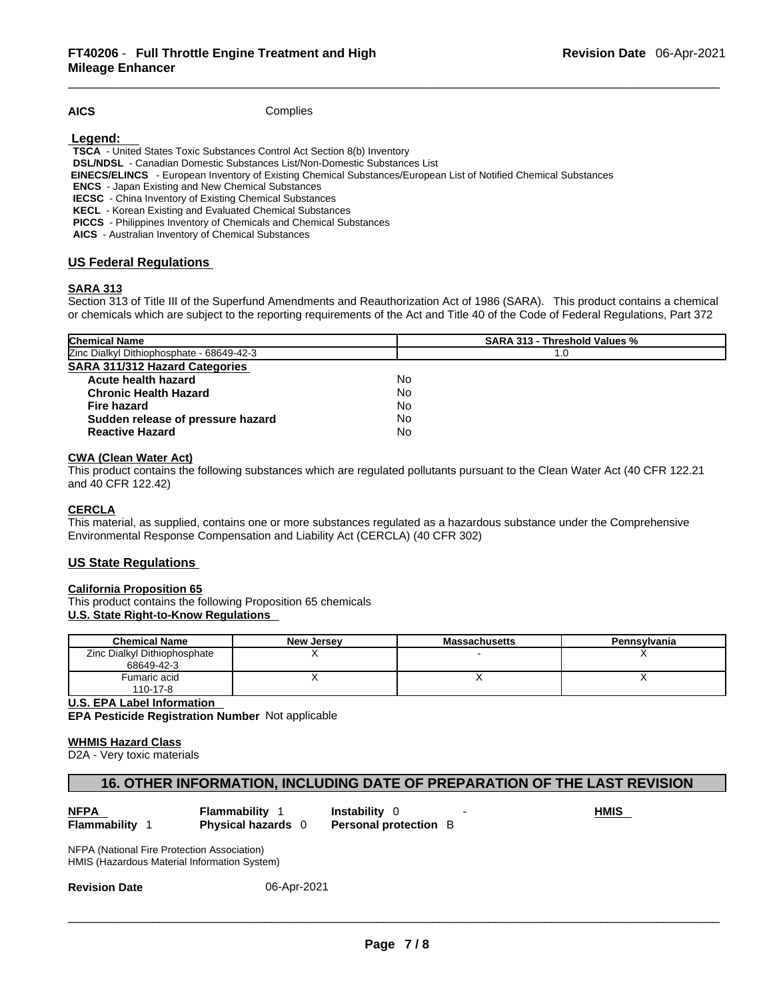**AICS** Complies

 **Legend:** 

**TSCA** - United States Toxic Substances Control Act Section 8(b) Inventory

**DSL/NDSL** - Canadian Domestic Substances List/Non-Domestic Substances List

 **EINECS/ELINCS** - European Inventory of Existing Chemical Substances/European List of Notified Chemical Substances

**ENCS** - Japan Existing and New Chemical Substances

**IECSC** - China Inventory of Existing Chemical Substances

**KECL** - Korean Existing and Evaluated Chemical Substances

**PICCS** - Philippines Inventory of Chemicals and Chemical Substances

**AICS** - Australian Inventory of Chemical Substances

# **US Federal Regulations**

# **SARA 313**

Section 313 of Title III of the Superfund Amendments and Reauthorization Act of 1986 (SARA). This product contains a chemical or chemicals which are subject to the reporting requirements of the Act and Title 40 of the Code of Federal Regulations, Part 372

| <b>Chemical Name</b>                      | <b>SARA 313 - Threshold Values %</b> |  |  |
|-------------------------------------------|--------------------------------------|--|--|
| Zinc Dialkyl Dithiophosphate - 68649-42-3 | 1.0                                  |  |  |
| <b>SARA 311/312 Hazard Categories</b>     |                                      |  |  |
| Acute health hazard                       | No                                   |  |  |
| <b>Chronic Health Hazard</b>              | No.                                  |  |  |
| <b>Fire hazard</b>                        | No                                   |  |  |
| Sudden release of pressure hazard         | No                                   |  |  |
| <b>Reactive Hazard</b>                    | No                                   |  |  |

# **CWA** (Clean Water Act)

This product contains the following substances which are regulated pollutants pursuant to the Clean Water Act (40 CFR 122.21 and 40 CFR 122.42)

# **CERCLA**

This material, as supplied, contains one or more substances regulated as a hazardous substance under the Comprehensive Environmental Response Compensation and Liability Act (CERCLA) (40 CFR 302)

# **US State Regulations**

#### **California Proposition 65**

This product contains the following Proposition 65 chemicals **U.S. State Right-to-Know Regulations** 

| <b>Chemical Name</b>         | New Jersey | <b>Massachusetts</b> | Pennsylvania |
|------------------------------|------------|----------------------|--------------|
| Zinc Dialkyl Dithiophosphate |            |                      |              |
| 68649-42-3                   |            |                      |              |
| Fumaric acid                 |            |                      |              |
| 110-17-8                     |            |                      |              |

**U.S. EPA Label Information** 

**EPA Pesticide Registration Number** Not applicable

# **WHMIS Hazard Class**

D2A - Very toxic materials

# **16. OTHER INFORMATION, INCLUDING DATE OF PREPARATION OF THE LAST REVISION**

**NFPA Flammability** 1 **Instability** 0 - **HMIS Flammability** 1 **Physical hazards** 0 **Personal protection** B

NFPA (National Fire Protection Association) HMIS (Hazardous Material Information System)

**Revision Date** 06-Apr-2021